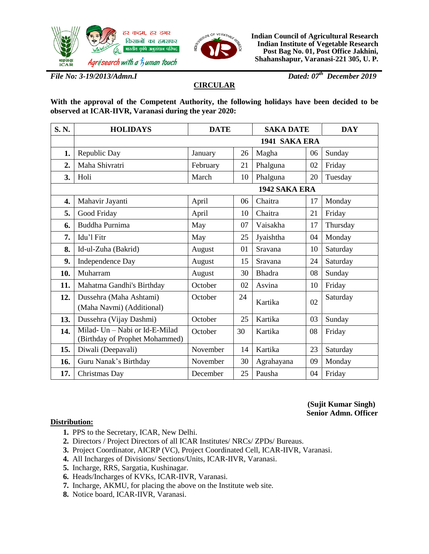



**Indian Council of Agricultural Research Indian Institute of Vegetable Research Post Bag No. 01, Post Office Jakhini, Shahanshapur, Varanasi-221 305, U. P.**

*File No: 3-19/2013/Admn.I Dated: 07th December 2019*

# **CIRCULAR**

**With the approval of the Competent Authority, the following holidays have been decided to be observed at ICAR-IIVR, Varanasi during the year 2020:** 

| S.N.             | <b>HOLIDAYS</b>                                                  | <b>DATE</b> |    | <b>SAKA DATE</b> |    | <b>DAY</b> |  |  |  |  |
|------------------|------------------------------------------------------------------|-------------|----|------------------|----|------------|--|--|--|--|
|                  | 1941 SAKA ERA                                                    |             |    |                  |    |            |  |  |  |  |
| 1.               | Republic Day                                                     | January     | 26 | Magha            | 06 | Sunday     |  |  |  |  |
| 2.               | Maha Shivratri                                                   | February    | 21 | Phalguna         | 02 | Friday     |  |  |  |  |
| 3.               | Holi                                                             | March       | 10 | Phalguna         | 20 | Tuesday    |  |  |  |  |
|                  | 1942 SAKA ERA                                                    |             |    |                  |    |            |  |  |  |  |
| $\overline{4}$ . | Mahavir Jayanti                                                  | April       | 06 | Chaitra          | 17 | Monday     |  |  |  |  |
| 5.               | Good Friday                                                      | April       | 10 | Chaitra          | 21 | Friday     |  |  |  |  |
| 6.               | Buddha Purnima                                                   | May         | 07 | Vaisakha         | 17 | Thursday   |  |  |  |  |
| 7.               | Idu'l Fitr                                                       | May         | 25 | Jyaishtha        | 04 | Monday     |  |  |  |  |
| 8.               | Id-ul-Zuha (Bakrid)                                              | August      | 01 | Sravana          | 10 | Saturday   |  |  |  |  |
| 9.               | Independence Day                                                 | August      | 15 | Sravana          | 24 | Saturday   |  |  |  |  |
| 10.              | Muharram                                                         | August      | 30 | <b>Bhadra</b>    | 08 | Sunday     |  |  |  |  |
| 11.              | Mahatma Gandhi's Birthday                                        | October     | 02 | Asvina           | 10 | Friday     |  |  |  |  |
| 12.              | Dussehra (Maha Ashtami)<br>(Maha Navmi) (Additional)             | October     | 24 | Kartika          | 02 | Saturday   |  |  |  |  |
| 13.              | Dussehra (Vijay Dashmi)                                          | October     | 25 | Kartika          | 03 | Sunday     |  |  |  |  |
| 14.              | Milad- Un - Nabi or Id-E-Milad<br>(Birthday of Prophet Mohammed) | October     | 30 | Kartika          | 08 | Friday     |  |  |  |  |
| 15.              | Diwali (Deepavali)                                               | November    | 14 | Kartika          | 23 | Saturday   |  |  |  |  |
| 16.              | Guru Nanak's Birthday                                            | November    | 30 | Agrahayana       | 09 | Monday     |  |  |  |  |
| 17.              | Christmas Day                                                    | December    | 25 | Pausha           | 04 | Friday     |  |  |  |  |

### **(Sujit Kumar Singh) Senior Admn. Officer**

### **Distribution:**

- **1.** PPS to the Secretary, ICAR, New Delhi.
- **2.** Directors / Project Directors of all ICAR Institutes/ NRCs/ ZPDs/ Bureaus.
- **3.** Project Coordinator, AICRP (VC), Project Coordinated Cell, ICAR-IIVR, Varanasi.
- **4.** All Incharges of Divisions/ Sections/Units, ICAR-IIVR, Varanasi.
- **5.** Incharge, RRS, Sargatia, Kushinagar.
- **6.** Heads/Incharges of KVKs, ICAR-IIVR, Varanasi.
- **7.** Incharge, AKMU, for placing the above on the Institute web site.
- **8.** Notice board, ICAR-IIVR, Varanasi.